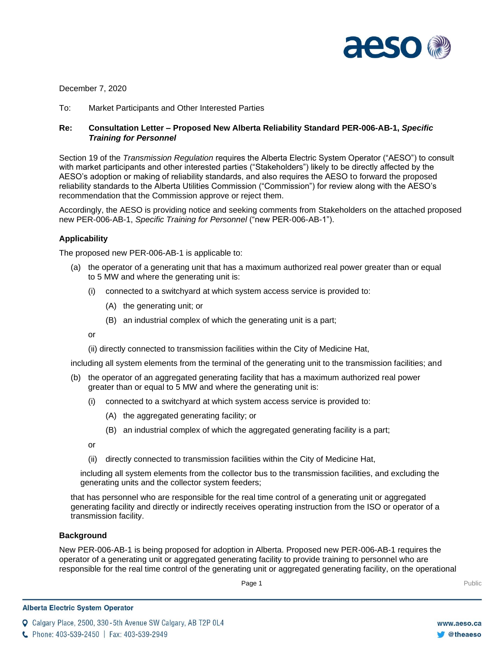

December 7, 2020

To: Market Participants and Other Interested Parties

# **Re: Consultation Letter – Proposed New Alberta Reliability Standard PER-006-AB-1,** *Specific Training for Personnel*

Section 19 of the *Transmission Regulation* requires the Alberta Electric System Operator ("AESO") to consult with market participants and other interested parties ("Stakeholders") likely to be directly affected by the AESO's adoption or making of reliability standards, and also requires the AESO to forward the proposed reliability standards to the Alberta Utilities Commission ("Commission") for review along with the AESO's recommendation that the Commission approve or reject them.

Accordingly, the AESO is providing notice and seeking comments from Stakeholders on the attached proposed new PER-006-AB-1, *Specific Training for Personnel* ("new PER-006-AB-1").

## **Applicability**

The proposed new PER-006-AB-1 is applicable to:

- (a) the operator of a generating unit that has a maximum authorized real power greater than or equal to 5 MW and where the generating unit is:
	- (i) connected to a switchyard at which system access service is provided to:
		- (A) the generating unit; or
		- (B) an industrial complex of which the generating unit is a part;

or

(ii) directly connected to transmission facilities within the City of Medicine Hat,

including all system elements from the terminal of the generating unit to the transmission facilities; and

- (b) the operator of an aggregated generating facility that has a maximum authorized real power greater than or equal to 5 MW and where the generating unit is:
	- (i) connected to a switchyard at which system access service is provided to:
		- (A) the aggregated generating facility; or
		- (B) an industrial complex of which the aggregated generating facility is a part;

or

(ii) directly connected to transmission facilities within the City of Medicine Hat,

including all system elements from the collector bus to the transmission facilities, and excluding the generating units and the collector system feeders;

that has personnel who are responsible for the real time control of a generating unit or aggregated generating facility and directly or indirectly receives operating instruction from the ISO or operator of a transmission facility.

## **Background**

New PER-006-AB-1 is being proposed for adoption in Alberta. Proposed new PER-006-AB-1 requires the operator of a generating unit or aggregated generating facility to provide training to personnel who are responsible for the real time control of the generating unit or aggregated generating facility, on the operational

**Q** Calgary Place, 2500, 330-5th Avenue SW Calgary, AB T2P 0L4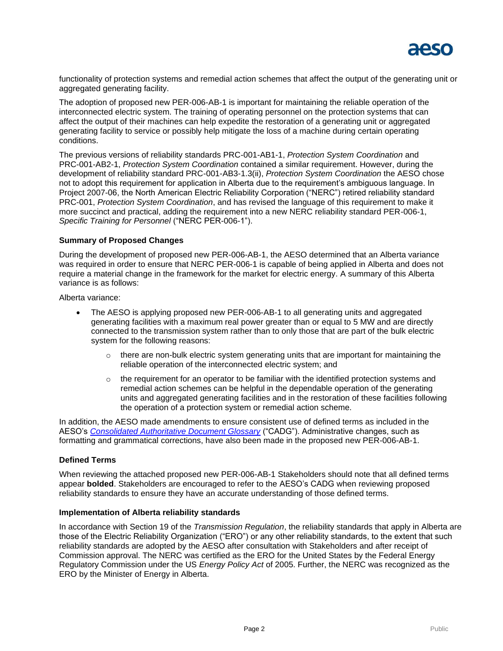

functionality of protection systems and remedial action schemes that affect the output of the generating unit or aggregated generating facility.

The adoption of proposed new PER-006-AB-1 is important for maintaining the reliable operation of the interconnected electric system. The training of operating personnel on the protection systems that can affect the output of their machines can help expedite the restoration of a generating unit or aggregated generating facility to service or possibly help mitigate the loss of a machine during certain operating conditions.

The previous versions of reliability standards PRC-001-AB1-1, *Protection System Coordination* and PRC-001-AB2-1, *Protection System Coordination* contained a similar requirement. However, during the development of reliability standard PRC-001-AB3-1.3(ii), *Protection System Coordination* the AESO chose not to adopt this requirement for application in Alberta due to the requirement's ambiguous language. In Project 2007-06, the North American Electric Reliability Corporation ("NERC") retired reliability standard PRC-001, *Protection System Coordination*, and has revised the language of this requirement to make it more succinct and practical, adding the requirement into a new NERC reliability standard PER-006-1, *Specific Training for Personnel* ("NERC PER-006-1").

### **Summary of Proposed Changes**

During the development of proposed new PER-006-AB-1, the AESO determined that an Alberta variance was required in order to ensure that NERC PER-006-1 is capable of being applied in Alberta and does not require a material change in the framework for the market for electric energy. A summary of this Alberta variance is as follows:

Alberta variance:

- The AESO is applying proposed new PER-006-AB-1 to all generating units and aggregated generating facilities with a maximum real power greater than or equal to 5 MW and are directly connected to the transmission system rather than to only those that are part of the bulk electric system for the following reasons:
	- $\circ$  there are non-bulk electric system generating units that are important for maintaining the reliable operation of the interconnected electric system; and
	- $\circ$  the requirement for an operator to be familiar with the identified protection systems and remedial action schemes can be helpful in the dependable operation of the generating units and aggregated generating facilities and in the restoration of these facilities following the operation of a protection system or remedial action scheme.

In addition, the AESO made amendments to ensure consistent use of defined terms as included in the AESO's *[Consolidated Authoritative Document Glossary](http://www.aeso.ca/rulesprocedures/20550.html)* ("CADG"). Administrative changes, such as formatting and grammatical corrections, have also been made in the proposed new PER-006-AB-1.

#### **Defined Terms**

When reviewing the attached proposed new PER-006-AB-1 Stakeholders should note that all defined terms appear **bolded**. Stakeholders are encouraged to refer to the AESO's CADG when reviewing proposed reliability standards to ensure they have an accurate understanding of those defined terms.

#### **Implementation of Alberta reliability standards**

In accordance with Section 19 of the *Transmission Regulation*, the reliability standards that apply in Alberta are those of the Electric Reliability Organization ("ERO") or any other reliability standards, to the extent that such reliability standards are adopted by the AESO after consultation with Stakeholders and after receipt of Commission approval. The NERC was certified as the ERO for the United States by the Federal Energy Regulatory Commission under the US *Energy Policy Act* of 2005. Further, the NERC was recognized as the ERO by the Minister of Energy in Alberta.